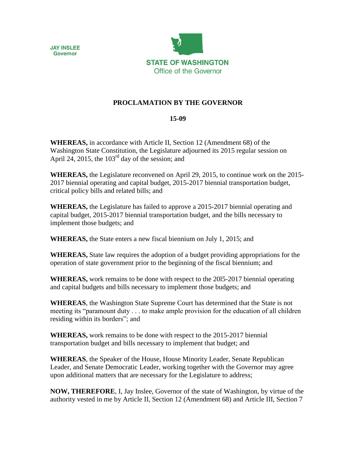



## **PROCLAMATION BY THE GOVERNOR**

## **15-09**

**WHEREAS,** in accordance with Article II, Section 12 (Amendment 68) of the Washington State Constitution, the Legislature adjourned its 2015 regular session on April 24, 2015, the  $103<sup>rd</sup>$  day of the session; and

**WHEREAS,** the Legislature reconvened on April 29, 2015, to continue work on the 2015- 2017 biennial operating and capital budget, 2015-2017 biennial transportation budget, critical policy bills and related bills; and

**WHEREAS,** the Legislature has failed to approve a 2015-2017 biennial operating and capital budget, 2015-2017 biennial transportation budget, and the bills necessary to implement those budgets; and

**WHEREAS,** the State enters a new fiscal biennium on July 1, 2015; and

**WHEREAS,** State law requires the adoption of a budget providing appropriations for the operation of state government prior to the beginning of the fiscal biennium; and

**WHEREAS,** work remains to be done with respect to the 20l5-2017 biennial operating and capital budgets and bills necessary to implement those budgets; and

**WHEREAS**, the Washington State Supreme Court has determined that the State is not meeting its "paramount duty . . . to make ample provision for the education of all children residing within its borders"; and

**WHEREAS,** work remains to be done with respect to the 2015-2017 biennial transportation budget and bills necessary to implement that budget; and

**WHEREAS**, the Speaker of the House, House Minority Leader, Senate Republican Leader, and Senate Democratic Leader, working together with the Governor may agree upon additional matters that are necessary for the Legislature to address;

**NOW, THEREFORE**, I, Jay Inslee, Governor of the state of Washington, by virtue of the authority vested in me by Article II, Section 12 (Amendment 68) and Article III, Section 7